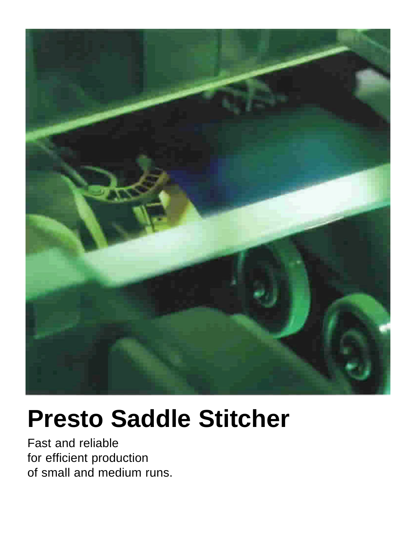

# **Presto Saddle Stitcher**

Fast and reliable for efficient production of small and medium runs.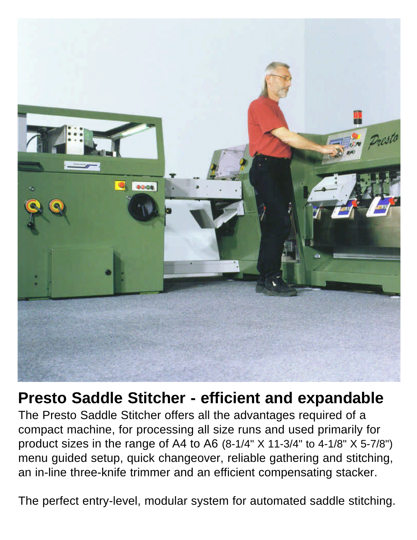

# **Presto Saddle Stitcher - efficient and expandable**

The Presto Saddle Stitcher offers all the advantages required of a compact machine, for processing all size runs and used primarily for product sizes in the range of A4 to A6 (8-1/4" X 11-3/4" to 4-1/8" X 5-7/8") menu guided setup, quick changeover, reliable gathering and stitching, an in-line three-knife trimmer and an efficient compensating stacker.

The perfect entry-level, modular system for automated saddle stitching.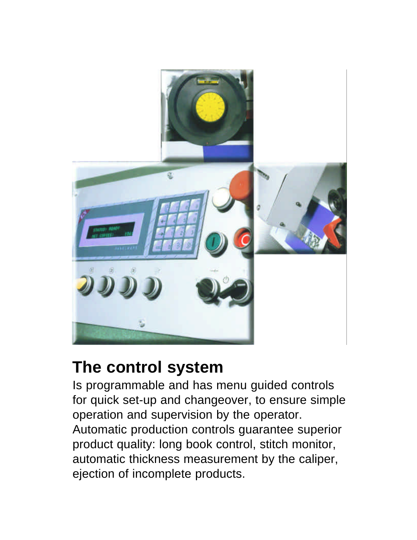

# **The control system**

Is programmable and has menu guided controls for quick set-up and changeover, to ensure simple operation and supervision by the operator. Automatic production controls guarantee superior product quality: long book control, stitch monitor, automatic thickness measurement by the caliper, ejection of incomplete products.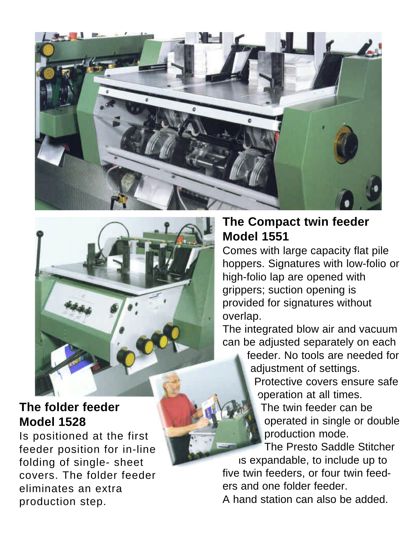



#### **The folder feeder Model 1528**

Is positioned at the first feeder position for in-line folding of single- sheet covers. The folder feeder eliminates an extra production step.

#### **The Compact twin feeder Model 1551**

Comes with large capacity flat pile hoppers. Signatures with low-folio or high-folio lap are opened with grippers; suction opening is provided for signatures without overlap.

The integrated blow air and vacuum can be adjusted separately on each

feeder. No tools are needed for adjustment of settings.

Protective covers ensure safe operation at all times.

The twin feeder can be operated in single or double production mode.

The Presto Saddle Stitcher

is expandable, to include up to five twin feeders, or four twin feeders and one folder feeder.

A hand station can also be added.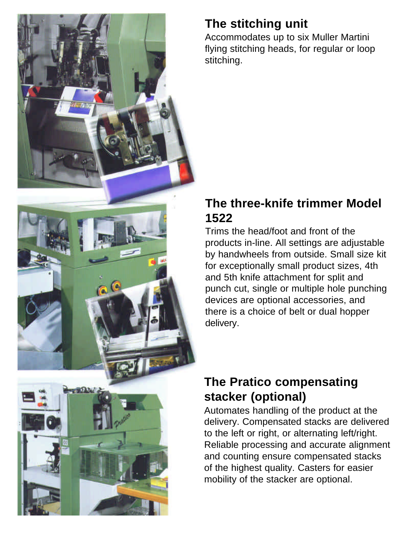

## **The stitching unit**

Accommodates up to six Muller Martini flying stitching heads, for regular or loop stitching.

### **The three-knife trimmer Model 1522**

Trims the head/foot and front of the products in-line. All settings are adjustable by handwheels from outside. Small size kit for exceptionally small product sizes, 4th and 5th knife attachment for split and punch cut, single or multiple hole punching devices are optional accessories, and there is a choice of belt or dual hopper delivery.

## **The Pratico compensating stacker (optional)**

Automates handling of the product at the delivery. Compensated stacks are delivered to the left or right, or alternating left/right. Reliable processing and accurate alignment and counting ensure compensated stacks of the highest quality. Casters for easier mobility of the stacker are optional.